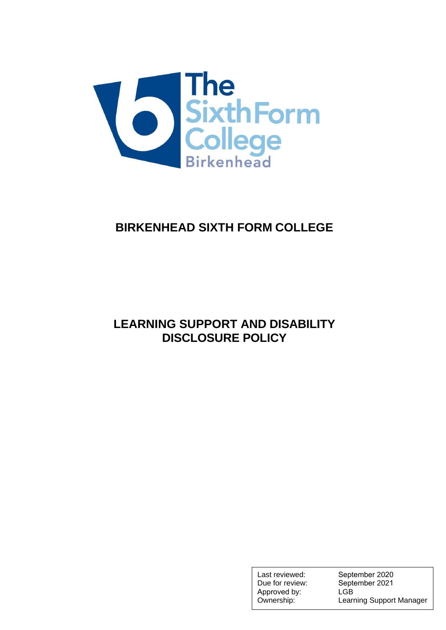

# **BIRKENHEAD SIXTH FORM COLLEGE**

# **LEARNING SUPPORT AND DISABILITY DISCLOSURE POLICY**

Last reviewed: Due for review: Approved by: Ownership:

September 2020 September 2021 LGB Learning Support Manager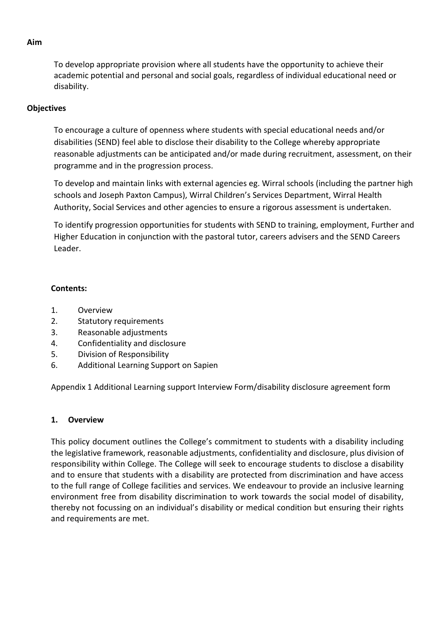To develop appropriate provision where all students have the opportunity to achieve their academic potential and personal and social goals, regardless of individual educational need or disability.

#### **Objectives**

To encourage a culture of openness where students with special educational needs and/or disabilities (SEND) feel able to disclose their disability to the College whereby appropriate reasonable adjustments can be anticipated and/or made during recruitment, assessment, on their programme and in the progression process.

To develop and maintain links with external agencies eg. Wirral schools (including the partner high schools and Joseph Paxton Campus), Wirral Children's Services Department, Wirral Health Authority, Social Services and other agencies to ensure a rigorous assessment is undertaken.

To identify progression opportunities for students with SEND to training, employment, Further and Higher Education in conjunction with the pastoral tutor, careers advisers and the SEND Careers Leader.

#### **Contents:**

- 1. Overview
- 2. Statutory requirements
- 3. Reasonable adjustments
- 4. Confidentiality and disclosure
- 5. Division of Responsibility
- 6. Additional Learning Support on Sapien

Appendix 1 Additional Learning support Interview Form/disability disclosure agreement form

### **1. Overview**

This policy document outlines the College's commitment to students with a disability including the legislative framework, reasonable adjustments, confidentiality and disclosure, plus division of responsibility within College. The College will seek to encourage students to disclose a disability and to ensure that students with a disability are protected from discrimination and have access to the full range of College facilities and services. We endeavour to provide an inclusive learning environment free from disability discrimination to work towards the social model of disability, thereby not focussing on an individual's disability or medical condition but ensuring their rights and requirements are met.

#### **Aim**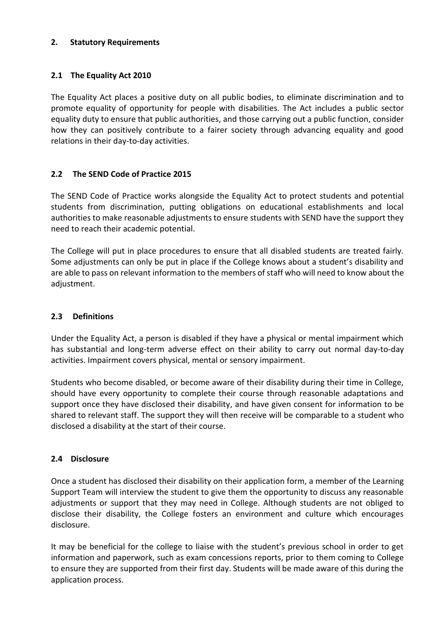#### **2. Statutory Requirements**

## **2.1 The Equality Act 2010**

The Equality Act places a positive duty on all public bodies, to eliminate discrimination and to promote equality of opportunity for people with disabilities. The Act includes a public sector equality duty to ensure that public authorities, and those carrying out a public function, consider how they can positively contribute to a fairer society through advancing equality and good relations in their day-to-day activities.

### **2.2 The SEND Code of Practice 2015**

The SEND Code of Practice works alongside the Equality Act to protect students and potential students from discrimination, putting obligations on educational establishments and local authorities to make reasonable adjustments to ensure students with SEND have the support they need to reach their academic potential.

The College will put in place procedures to ensure that all disabled students are treated fairly. Some adjustments can only be put in place if the College knows about a student's disability and are able to pass on relevant information to the members of staff who will need to know about the adjustment.

# **2.3 Definitions**

Under the Equality Act, a person is disabled if they have a physical or mental impairment which has substantial and long-term adverse effect on their ability to carry out normal day-to-day activities. Impairment covers physical, mental or sensory impairment.

Students who become disabled, or become aware of their disability during their time in College, should have every opportunity to complete their course through reasonable adaptations and support once they have disclosed their disability, and have given consent for information to be shared to relevant staff. The support they will then receive will be comparable to a student who disclosed a disability at the start of their course.

### **2.4 Disclosure**

Once a student has disclosed their disability on their application form, a member of the Learning Support Team will interview the student to give them the opportunity to discuss any reasonable adjustments or support that they may need in College. Although students are not obliged to disclose their disability, the College fosters an environment and culture which encourages disclosure.

It may be beneficial for the college to liaise with the student's previous school in order to get information and paperwork, such as exam concessions reports, prior to them coming to College to ensure they are supported from their first day. Students will be made aware of this during the application process.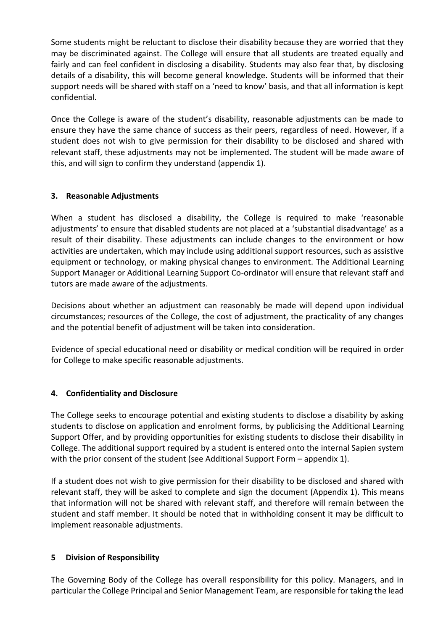Some students might be reluctant to disclose their disability because they are worried that they may be discriminated against. The College will ensure that all students are treated equally and fairly and can feel confident in disclosing a disability. Students may also fear that, by disclosing details of a disability, this will become general knowledge. Students will be informed that their support needs will be shared with staff on a 'need to know' basis, and that all information is kept confidential.

Once the College is aware of the student's disability, reasonable adjustments can be made to ensure they have the same chance of success as their peers, regardless of need. However, if a student does not wish to give permission for their disability to be disclosed and shared with relevant staff, these adjustments may not be implemented. The student will be made aware of this, and will sign to confirm they understand (appendix 1).

#### **3. Reasonable Adjustments**

When a student has disclosed a disability, the College is required to make 'reasonable adjustments' to ensure that disabled students are not placed at a 'substantial disadvantage' as a result of their disability. These adjustments can include changes to the environment or how activities are undertaken, which may include using additional support resources, such as assistive equipment or technology, or making physical changes to environment. The Additional Learning Support Manager or Additional Learning Support Co-ordinator will ensure that relevant staff and tutors are made aware of the adjustments.

Decisions about whether an adjustment can reasonably be made will depend upon individual circumstances; resources of the College, the cost of adjustment, the practicality of any changes and the potential benefit of adjustment will be taken into consideration.

Evidence of special educational need or disability or medical condition will be required in order for College to make specific reasonable adjustments.

### **4. Confidentiality and Disclosure**

The College seeks to encourage potential and existing students to disclose a disability by asking students to disclose on application and enrolment forms, by publicising the Additional Learning Support Offer, and by providing opportunities for existing students to disclose their disability in College. The additional support required by a student is entered onto the internal Sapien system with the prior consent of the student (see Additional Support Form – appendix 1).

If a student does not wish to give permission for their disability to be disclosed and shared with relevant staff, they will be asked to complete and sign the document (Appendix 1). This means that information will not be shared with relevant staff, and therefore will remain between the student and staff member. It should be noted that in withholding consent it may be difficult to implement reasonable adjustments.

#### **5 Division of Responsibility**

The Governing Body of the College has overall responsibility for this policy. Managers, and in particular the College Principal and Senior Management Team, are responsible for taking the lead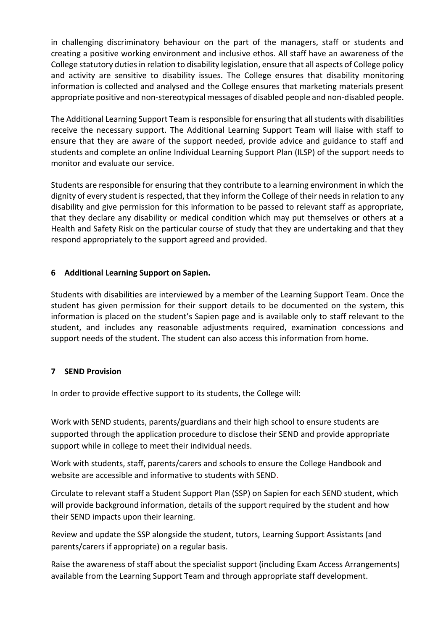in challenging discriminatory behaviour on the part of the managers, staff or students and creating a positive working environment and inclusive ethos. All staff have an awareness of the College statutory duties in relation to disability legislation, ensure that all aspects of College policy and activity are sensitive to disability issues. The College ensures that disability monitoring information is collected and analysed and the College ensures that marketing materials present appropriate positive and non-stereotypical messages of disabled people and non-disabled people.

The Additional Learning Support Team is responsible for ensuring that all students with disabilities receive the necessary support. The Additional Learning Support Team will liaise with staff to ensure that they are aware of the support needed, provide advice and guidance to staff and students and complete an online Individual Learning Support Plan (ILSP) of the support needs to monitor and evaluate our service.

Students are responsible for ensuring that they contribute to a learning environment in which the dignity of every student is respected, that they inform the College of their needs in relation to any disability and give permission for this information to be passed to relevant staff as appropriate, that they declare any disability or medical condition which may put themselves or others at a Health and Safety Risk on the particular course of study that they are undertaking and that they respond appropriately to the support agreed and provided.

### **6 Additional Learning Support on Sapien.**

Students with disabilities are interviewed by a member of the Learning Support Team. Once the student has given permission for their support details to be documented on the system, this information is placed on the student's Sapien page and is available only to staff relevant to the student, and includes any reasonable adjustments required, examination concessions and support needs of the student. The student can also access this information from home.

#### **7 SEND Provision**

In order to provide effective support to its students, the College will:

Work with SEND students, parents/guardians and their high school to ensure students are supported through the application procedure to disclose their SEND and provide appropriate support while in college to meet their individual needs.

Work with students, staff, parents/carers and schools to ensure the College Handbook and website are accessible and informative to students with SEND.

Circulate to relevant staff a Student Support Plan (SSP) on Sapien for each SEND student, which will provide background information, details of the support required by the student and how their SEND impacts upon their learning.

Review and update the SSP alongside the student, tutors, Learning Support Assistants (and parents/carers if appropriate) on a regular basis.

Raise the awareness of staff about the specialist support (including Exam Access Arrangements) available from the Learning Support Team and through appropriate staff development.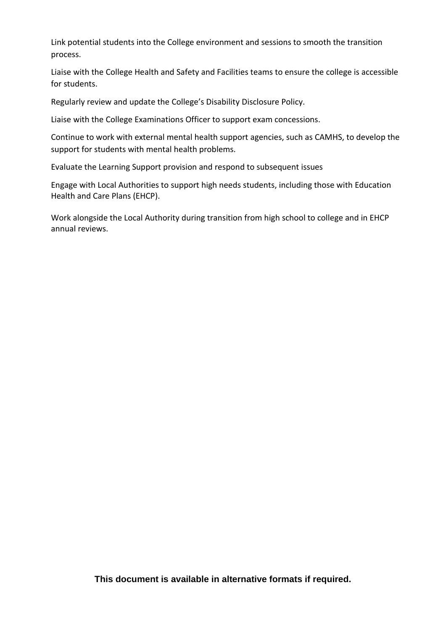Link potential students into the College environment and sessions to smooth the transition process.

Liaise with the College Health and Safety and Facilities teams to ensure the college is accessible for students.

Regularly review and update the College's Disability Disclosure Policy.

Liaise with the College Examinations Officer to support exam concessions.

Continue to work with external mental health support agencies, such as CAMHS, to develop the support for students with mental health problems.

Evaluate the Learning Support provision and respond to subsequent issues

Engage with Local Authorities to support high needs students, including those with Education Health and Care Plans (EHCP).

Work alongside the Local Authority during transition from high school to college and in EHCP annual reviews.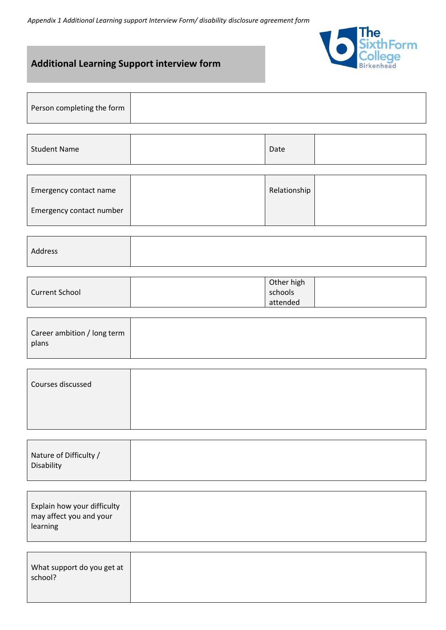*Appendix 1 Additional Learning support Interview Form/ disability disclosure agreement form*



# **Additional Learning Support interview form**

| Person completing the form |  |
|----------------------------|--|
|                            |  |

| <b>Student Name</b> |  | Date |  |
|---------------------|--|------|--|
|---------------------|--|------|--|

| Emergency contact name   | Relationship |  |
|--------------------------|--------------|--|
| Emergency contact number |              |  |

| Address |  |
|---------|--|
|         |  |

|                       | Other high |  |
|-----------------------|------------|--|
| <b>Current School</b> | schools    |  |
|                       | attended   |  |

| Career ambition / long term |
|-----------------------------|
| plans                       |
|                             |

| Courses discussed |  |  |
|-------------------|--|--|
|                   |  |  |
|                   |  |  |

| Nature of Difficulty / |  |  |
|------------------------|--|--|
| Disability             |  |  |
|                        |  |  |

| Explain how your difficulty |
|-----------------------------|
| may affect you and your     |
| learning                    |
|                             |

| What support do you get at<br>school? |
|---------------------------------------|
|                                       |